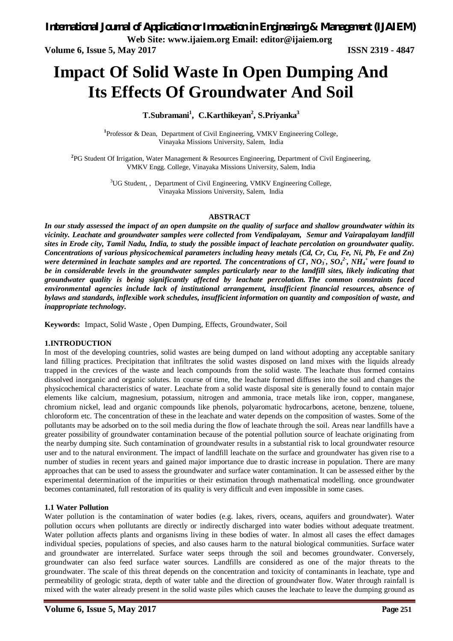**Web Site: www.ijaiem.org Email: editor@ijaiem.org**

**Volume 6, Issue 5, May 2017 ISSN 2319 - 4847**

# **Impact Of Solid Waste In Open Dumping And Its Effects Of Groundwater And Soil**

**T.Subramani<sup>1</sup> , C.Karthikeyan<sup>2</sup> , S.Priyanka<sup>3</sup>**

<sup>1</sup>Professor & Dean, Department of Civil Engineering, VMKV Engineering College, Vinayaka Missions University, Salem, India

**2** PG Student Of Irrigation, Water Management & Resources Engineering, Department of Civil Engineering, VMKV Engg. College, Vinayaka Missions University, Salem, India

> <sup>3</sup>UG Student, , Department of Civil Engineering, VMKV Engineering College, Vinayaka Missions University, Salem, India

### **ABSTRACT**

*In our study assessed the impact of an open dumpsite on the quality of surface and shallow groundwater within its vicinity. Leachate and groundwater samples were collected from Vendipalayam, Semur and Vairapalayam landfill sites in Erode city, Tamil Nadu, India, to study the possible impact of leachate percolation on groundwater quality. Concentrations of various physicochemical parameters including heavy metals (Cd, Cr, Cu, Fe, Ni, Pb, Fe and Zn)* were determined in leachate samples and are reported. The concentrations of Cl,  $NO_3$ ,  $SO_4^2$ ,  $NH_4^+$  were found to *be in considerable levels in the groundwater samples particularly near to the landfill sites, likely indicating that groundwater quality is being significantly affected by leachate percolation. The common constraints faced environmental agencies include lack of institutional arrangement, insufficient financial resources, absence of bylaws and standards, inflexible work schedules, insufficient information on quantity and composition of waste, and inappropriate technology.*

**Keywords:** Impact, Solid Waste , Open Dumping, Effects, Groundwater, Soil

### **1.INTRODUCTION**

In most of the developing countries, solid wastes are being dumped on land without adopting any acceptable sanitary land filling practices. Precipitation that infiltrates the solid wastes disposed on land mixes with the liquids already trapped in the crevices of the waste and leach compounds from the solid waste. The leachate thus formed contains dissolved inorganic and organic solutes. In course of time, the leachate formed diffuses into the soil and changes the physicochemical characteristics of water. Leachate from a solid waste disposal site is generally found to contain major elements like calcium, magnesium, potassium, nitrogen and ammonia, trace metals like iron, copper, manganese, chromium nickel, lead and organic compounds like phenols, polyaromatic hydrocarbons, acetone, benzene, toluene, chloroform etc. The concentration of these in the leachate and water depends on the composition of wastes. Some of the pollutants may be adsorbed on to the soil media during the flow of leachate through the soil. Areas near landfills have a greater possibility of groundwater contamination because of the potential pollution source of leachate originating from the nearby dumping site. Such contamination of groundwater results in a substantial risk to local groundwater resource user and to the natural environment. The impact of landfill leachate on the surface and groundwater has given rise to a number of studies in recent years and gained major importance due to drastic increase in population. There are many approaches that can be used to assess the groundwater and surface water contamination. It can be assessed either by the experimental determination of the impurities or their estimation through mathematical modelling. once groundwater becomes contaminated, full restoration of its quality is very difficult and even impossible in some cases.

### **1.1 Water Pollution**

Water pollution is the contamination of water bodies (e.g. lakes, rivers, oceans, aquifers and groundwater). Water pollution occurs when pollutants are directly or indirectly discharged into water bodies without adequate treatment. Water pollution affects plants and organisms living in these bodies of water. In almost all cases the effect damages individual species, populations of species, and also causes harm to the natural biological communities. Surface water and groundwater are interrelated. Surface water seeps through the soil and becomes groundwater. Conversely, groundwater can also feed surface water sources. Landfills are considered as one of the major threats to the groundwater. The scale of this threat depends on the concentration and toxicity of contaminants in leachate, type and permeability of geologic strata, depth of water table and the direction of groundwater flow. Water through rainfall is mixed with the water already present in the solid waste piles which causes the leachate to leave the dumping ground as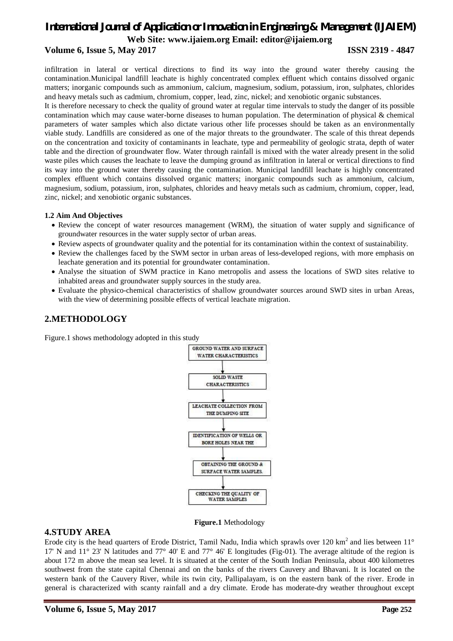### **Volume 6, Issue 5, May 2017 ISSN 2319 - 4847**

infiltration in lateral or vertical directions to find its way into the ground water thereby causing the contamination.Municipal landfill leachate is highly concentrated complex effluent which contains dissolved organic matters; inorganic compounds such as ammonium, calcium, magnesium, sodium, potassium, iron, sulphates, chlorides and heavy metals such as cadmium, chromium, copper, lead, zinc, nickel; and xenobiotic organic substances.

It is therefore necessary to check the quality of ground water at regular time intervals to study the danger of its possible contamination which may cause water-borne diseases to human population. The determination of physical & chemical parameters of water samples which also dictate various other life processes should be taken as an environmentally viable study. Landfills are considered as one of the major threats to the groundwater. The scale of this threat depends on the concentration and toxicity of contaminants in leachate, type and permeability of geologic strata, depth of water table and the direction of groundwater flow. Water through rainfall is mixed with the water already present in the solid waste piles which causes the leachate to leave the dumping ground as infiltration in lateral or vertical directions to find its way into the ground water thereby causing the contamination. Municipal landfill leachate is highly concentrated complex effluent which contains dissolved organic matters; inorganic compounds such as ammonium, calcium, magnesium, sodium, potassium, iron, sulphates, chlorides and heavy metals such as cadmium, chromium, copper, lead, zinc, nickel; and xenobiotic organic substances.

### **1.2 Aim And Objectives**

- Review the concept of water resources management (WRM), the situation of water supply and significance of groundwater resources in the water supply sector of urban areas.
- Review aspects of groundwater quality and the potential for its contamination within the context of sustainability.
- Review the challenges faced by the SWM sector in urban areas of less-developed regions, with more emphasis on leachate generation and its potential for groundwater contamination.
- Analyse the situation of SWM practice in Kano metropolis and assess the locations of SWD sites relative to inhabited areas and groundwater supply sources in the study area.
- Evaluate the physico-chemical characteristics of shallow groundwater sources around SWD sites in urban Areas, with the view of determining possible effects of vertical leachate migration.

## **2.METHODOLOGY**

Figure.1 shows methodology adopted in this study



**Figure.1** Methodology

## **4.STUDY AREA**

Erode city is the head quarters of Erode District, Tamil Nadu, India which sprawls over 120 km<sup>2</sup> and lies between  $11^{\circ}$ 17' N and 11° 23' N latitudes and 77° 40' E and 77° 46' E longitudes (Fig-01). The average altitude of the region is about 172 m above the mean sea level. It is situated at the center of the South Indian Peninsula, about 400 kilometres southwest from the state capital Chennai and on the banks of the rivers Cauvery and Bhavani. It is located on the western bank of the Cauvery River, while its twin city, Pallipalayam, is on the eastern bank of the river. Erode in general is characterized with scanty rainfall and a dry climate. Erode has moderate-dry weather throughout except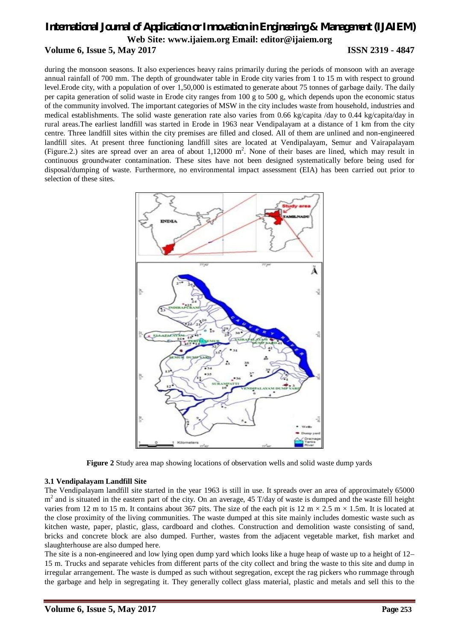## *International Journal of Application or Innovation in Engineering & Management (IJAIEM)* **Web Site: www.ijaiem.org Email: editor@ijaiem.org Volume 6, Issue 5, May 2017 ISSN 2319 - 4847**

during the monsoon seasons. It also experiences heavy rains primarily during the periods of monsoon with an average annual rainfall of 700 mm. The depth of groundwater table in Erode city varies from 1 to 15 m with respect to ground level.Erode city, with a population of over 1,50,000 is estimated to generate about 75 tonnes of garbage daily. The daily per capita generation of solid waste in Erode city ranges from 100 g to 500 g, which depends upon the economic status of the community involved. The important categories of MSW in the city includes waste from household, industries and medical establishments. The solid waste generation rate also varies from 0.66 kg/capita /day to 0.44 kg/capita/day in rural areas.The earliest landfill was started in Erode in 1963 near Vendipalayam at a distance of 1 km from the city centre. Three landfill sites within the city premises are filled and closed. All of them are unlined and non-engineered landfill sites. At present three functioning landfill sites are located at Vendipalayam, Semur and Vairapalayam (Figure.2.) sites are spread over an area of about  $1,12000 \text{ m}^2$ . None of their bases are lined, which may result in continuous groundwater contamination. These sites have not been designed systematically before being used for disposal/dumping of waste. Furthermore, no environmental impact assessment (EIA) has been carried out prior to selection of these sites.



**Figure 2** Study area map showing locations of observation wells and solid waste dump yards

### **3.1 Vendipalayam Landfill Site**

The Vendipalayam landfill site started in the year 1963 is still in use. It spreads over an area of approximately 65000 m<sup>2</sup> and is situated in the eastern part of the city. On an average, 45 T/day of waste is dumped and the waste fill height varies from 12 m to 15 m. It contains about 367 pits. The size of the each pit is  $12 \text{ m} \times 2.5 \text{ m} \times 1.5 \text{ m}$ . It is located at the close proximity of the living communities. The waste dumped at this site mainly includes domestic waste such as kitchen waste, paper, plastic, glass, cardboard and clothes. Construction and demolition waste consisting of sand, bricks and concrete block are also dumped. Further, wastes from the adjacent vegetable market, fish market and slaughterhouse are also dumped here.

The site is a non-engineered and low lying open dump yard which looks like a huge heap of waste up to a height of 12– 15 m. Trucks and separate vehicles from different parts of the city collect and bring the waste to this site and dump in irregular arrangement. The waste is dumped as such without segregation, except the rag pickers who rummage through the garbage and help in segregating it. They generally collect glass material, plastic and metals and sell this to the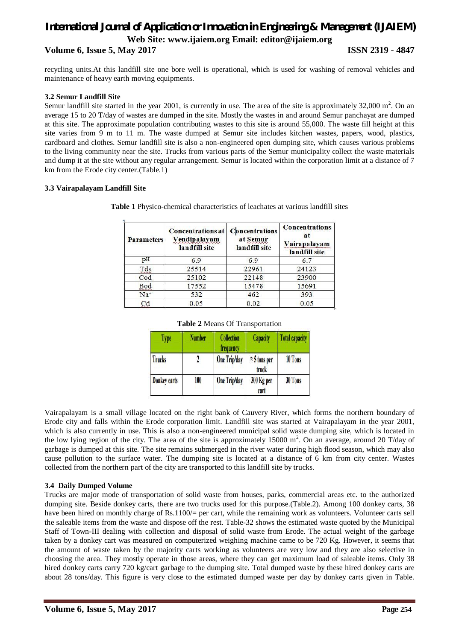### **Volume 6, Issue 5, May 2017 ISSN 2319 - 4847**

recycling units.At this landfill site one bore well is operational, which is used for washing of removal vehicles and maintenance of heavy earth moving equipments.

### **3.2 Semur Landfill Site**

Semur landfill site started in the year 2001, is currently in use. The area of the site is approximately  $32,000$  m<sup>2</sup>. On an average 15 to 20 T/day of wastes are dumped in the site. Mostly the wastes in and around Semur panchayat are dumped at this site. The approximate population contributing wastes to this site is around 55,000. The waste fill height at this site varies from 9 m to 11 m. The waste dumped at Semur site includes kitchen wastes, papers, wood, plastics, cardboard and clothes. Semur landfill site is also a non-engineered open dumping site, which causes various problems to the living community near the site. Trucks from various parts of the Semur municipality collect the waste materials and dump it at the site without any regular arrangement. Semur is located within the corporation limit at a distance of 7 km from the Erode city center.(Table.1)

### **3.3 Vairapalayam Landfill Site**

| <b>Parameters</b> | <b>Concentrations at</b><br>Vendipalayam<br>landfill site | <b>Concentrations</b><br>at Semur<br>10000000000000<br>landfill site | <b>Concentrations</b><br>at<br>Vairapalayam<br>landfill site |
|-------------------|-----------------------------------------------------------|----------------------------------------------------------------------|--------------------------------------------------------------|
| PH                | 6.9                                                       | 6.9                                                                  | 6.7                                                          |
| Tds               | 25514                                                     | 22961                                                                | 24123                                                        |
| Cod               | 25102                                                     | 22148                                                                | 23900                                                        |
| Bod               | 17552                                                     | 15478                                                                | 15691                                                        |
| $Na+$             | 532                                                       | 462                                                                  | 393                                                          |
|                   | 0.05                                                      | 0.02                                                                 | 0.05                                                         |

**Table 1** Physico-chemical characteristics of leachates at various landfill sites

### **Table 2** Means Of Transportation

| Type                | <b>Number</b> | <b>Collection</b><br>frequency | <b>Capacity</b>               | <b>Total capacity</b> |
|---------------------|---------------|--------------------------------|-------------------------------|-----------------------|
| <b>Trucks</b>       |               | <b>One Trip/day</b>            | $\approx$ 5 tons per<br>truck | 10 Tons               |
| <b>Donkey carts</b> | 100           | <b>One Trip/day</b>            | 300 Kg per<br>cart            | 30 Tons               |

Vairapalayam is a small village located on the right bank of Cauvery River, which forms the northern boundary of Erode city and falls within the Erode corporation limit. Landfill site was started at Vairapalayam in the year 2001, which is also currently in use. This is also a non-engineered municipal solid waste dumping site, which is located in the low lying region of the city. The area of the site is approximately 15000  $m^2$ . On an average, around 20 T/day of garbage is dumped at this site. The site remains submerged in the river water during high flood season, which may also cause pollution to the surface water. The dumping site is located at a distance of 6 km from city center. Wastes collected from the northern part of the city are transported to this landfill site by trucks.

### **3.4 Daily Dumped Volume**

Trucks are major mode of transportation of solid waste from houses, parks, commercial areas etc. to the authorized dumping site. Beside donkey carts, there are two trucks used for this purpose.(Table.2). Among 100 donkey carts, 38 have been hired on monthly charge of Rs.1100/= per cart, while the remaining work as volunteers. Volunteer carts sell the saleable items from the waste and dispose off the rest. Table-32 shows the estimated waste quoted by the Municipal Staff of Town-III dealing with collection and disposal of solid waste from Erode. The actual weight of the garbage taken by a donkey cart was measured on computerized weighing machine came to be 720 Kg. However, it seems that the amount of waste taken by the majority carts working as volunteers are very low and they are also selective in choosing the area. They mostly operate in those areas, where they can get maximum load of saleable items. Only 38 hired donkey carts carry 720 kg/cart garbage to the dumping site. Total dumped waste by these hired donkey carts are about 28 tons/day. This figure is very close to the estimated dumped waste per day by donkey carts given in Table.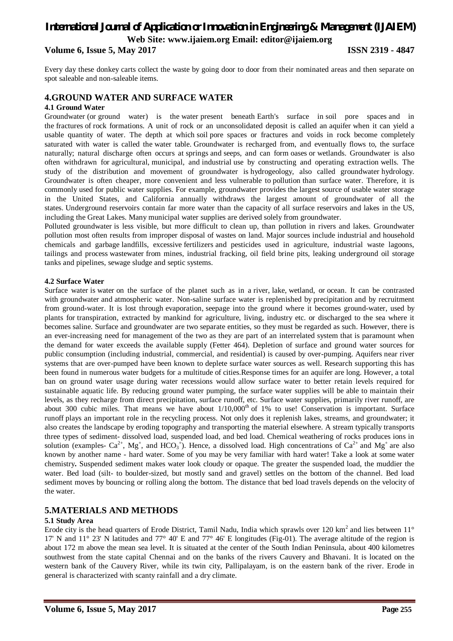# *International Journal of Application or Innovation in Engineering & Management (IJAIEM)* **Web Site: www.ijaiem.org Email: editor@ijaiem.org Volume 6, Issue 5, May 2017 ISSN 2319 - 4847**

Every day these donkey carts collect the waste by going door to door from their nominated areas and then separate on spot saleable and non-saleable items.

### **4.GROUND WATER AND SURFACE WATER**

### **4.1 Ground Water**

Groundwater (or ground water) is the water present beneath Earth's surface in soil pore spaces and in the fractures of rock formations. A unit of rock or an unconsolidated deposit is called an aquifer when it can yield a usable quantity of water. The depth at which soil pore spaces or fractures and voids in rock become completely saturated with water is called the water table. Groundwater is recharged from, and eventually flows to, the surface naturally; natural discharge often occurs at springs and seeps, and can form oases or wetlands. Groundwater is also often withdrawn for agricultural, municipal, and industrial use by constructing and operating extraction wells. The study of the distribution and movement of groundwater is hydrogeology, also called groundwater hydrology. Groundwater is often cheaper, more convenient and less vulnerable to pollution than surface water. Therefore, it is commonly used for public water supplies. For example, groundwater provides the largest source of usable water storage in the United States, and California annually withdraws the largest amount of groundwater of all the states. Underground reservoirs contain far more water than the capacity of all surface reservoirs and lakes in the US, including the Great Lakes. Many municipal water supplies are derived solely from groundwater.

Polluted groundwater is less visible, but more difficult to clean up, than pollution in rivers and lakes. Groundwater pollution most often results from improper disposal of wastes on land. Major sources include industrial and household chemicals and garbage landfills, excessive fertilizers and pesticides used in agriculture, industrial waste lagoons, tailings and process wastewater from mines, industrial fracking, oil field brine pits, leaking underground oil storage tanks and pipelines, sewage sludge and septic systems.

### **4.2 Surface Water**

Surface water is water on the surface of the planet such as in a river, lake, wetland, or ocean. It can be contrasted with groundwater and atmospheric water. Non-saline surface water is replenished by precipitation and by recruitment from ground-water. It is lost through evaporation, seepage into the ground where it becomes ground-water, used by plants for transpiration, extracted by mankind for agriculture, living, industry etc. or discharged to the sea where it becomes saline. Surface and groundwater are two separate entities, so they must be regarded as such. However, there is an ever-increasing need for management of the two as they are part of an interrelated system that is paramount when the demand for water exceeds the available supply (Fetter 464). Depletion of surface and ground water sources for public consumption (including industrial, commercial, and residential) is caused by over-pumping. Aquifers near river systems that are over-pumped have been known to deplete surface water sources as well. Research supporting this has been found in numerous water budgets for a multitude of cities.Response times for an aquifer are long. However, a total ban on ground water usage during water recessions would allow surface water to better retain levels required for sustainable aquatic life. By reducing ground water pumping, the surface water supplies will be able to maintain their levels, as they recharge from direct precipitation, surface runoff, etc. Surface water supplies, primarily river runoff, are about 300 cubic miles. That means we have about  $1/10,000<sup>th</sup>$  of 1% to use! Conservation is important. Surface runoff plays an important role in the recycling process. Not only does it replenish lakes, streams, and groundwater; it also creates the landscape by eroding topography and transporting the material elsewhere. A stream typically transports three types of sediment- dissolved load, suspended load, and bed load. Chemical weathering of rocks produces ions in solution (examples-  $Ca^{2+}$ , Mg<sup>+</sup>, and HCO<sub>3</sub><sup>+</sup>). Hence, a dissolved load. High concentrations of Ca<sup>2+</sup> and Mg<sup>+</sup> are also known by another name - hard water. Some of you may be very familiar with hard water! Take a look at some water chemistry**.** Suspended sediment makes water look cloudy or opaque. The greater the suspended load, the muddier the water. Bed load (silt- to boulder-sized, but mostly sand and gravel) settles on the bottom of the channel. Bed load sediment moves by bouncing or rolling along the bottom. The distance that bed load travels depends on the velocity of the water.

### **5.MATERIALS AND METHODS**

### **5.1 Study Area**

Erode city is the head quarters of Erode District, Tamil Nadu, India which sprawls over 120 km<sup>2</sup> and lies between  $11^{\circ}$ 17' N and 11° 23' N latitudes and 77° 40' E and 77° 46' E longitudes (Fig-01). The average altitude of the region is about 172 m above the mean sea level. It is situated at the center of the South Indian Peninsula, about 400 kilometres southwest from the state capital Chennai and on the banks of the rivers Cauvery and Bhavani. It is located on the western bank of the Cauvery River, while its twin city, Pallipalayam, is on the eastern bank of the river. Erode in general is characterized with scanty rainfall and a dry climate.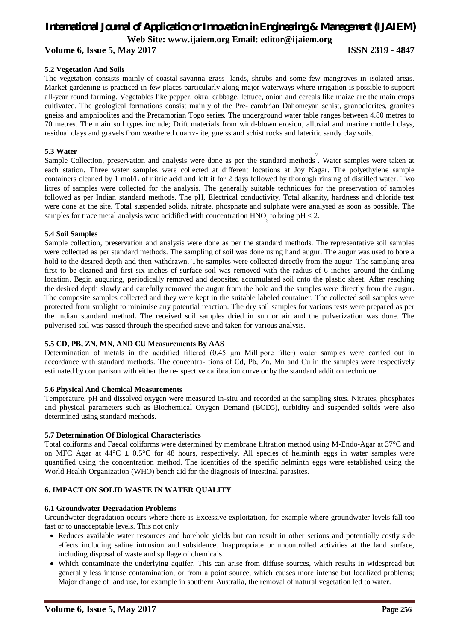### **Volume 6, Issue 5, May 2017 ISSN 2319 - 4847**

## **5.2 Vegetation And Soils**

The vegetation consists mainly of coastal-savanna grass- lands, shrubs and some few mangroves in isolated areas. Market gardening is practiced in few places particularly along major waterways where irrigation is possible to support all-year round farming. Vegetables like pepper, okra, cabbage, lettuce, onion and cereals like maize are the main crops cultivated. The geological formations consist mainly of the Pre- cambrian Dahomeyan schist, granodiorites, granites gneiss and amphibolites and the Precambrian Togo series. The underground water table ranges between 4.80 metres to 70 metres. The main soil types include; Drift materials from wind-blown erosion, alluvial and marine mottled clays, residual clays and gravels from weathered quartz- ite, gneiss and schist rocks and lateritic sandy clay soils.

### **5.3 Water**

Sample Collection, preservation and analysis were done as per the standard methods 2 . Water samples were taken at each station. Three water samples were collected at different locations at Joy Nagar. The polyethylene sample containers cleaned by 1 mol/L of nitric acid and left it for 2 days followed by thorough rinsing of distilled water. Two litres of samples were collected for the analysis. The generally suitable techniques for the preservation of samples followed as per Indian standard methods. The pH, Electrical conductivity, Total alkanity, hardness and chloride test were done at the site. Total suspended solids. nitrate, phosphate and sulphate were analysed as soon as possible. The samples for trace metal analysis were acidified with concentration  $HNO<sub>3</sub>$  to bring  $pH < 2$ .

### **5.4 Soil Samples**

Sample collection, preservation and analysis were done as per the standard methods. The representative soil samples were collected as per standard methods. The sampling of soil was done using hand augur. The augur was used to bore a hold to the desired depth and then withdrawn. The samples were collected directly from the augur. The sampling area first to be cleaned and first six inches of surface soil was removed with the radius of 6 inches around the drilling location. Begin auguring, periodically removed and deposited accumulated soil onto the plastic sheet. After reaching the desired depth slowly and carefully removed the augur from the hole and the samples were directly from the augur. The composite samples collected and they were kept in the suitable labeled container. The collected soil samples were protected from sunlight to minimise any potential reaction. The dry soil samples for various tests were prepared as per the indian standard method**.** The received soil samples dried in sun or air and the pulverization was done. The pulverised soil was passed through the specified sieve and taken for various analysis.

### **5.5 CD, PB, ZN, MN, AND CU Measurements By AAS**

Determination of metals in the acidified filtered (0.45 μm Millipore filter) water samples were carried out in accordance with standard methods. The concentra- tions of Cd, Pb, Zn, Mn and Cu in the samples were respectively estimated by comparison with either the re- spective calibration curve or by the standard addition technique.

### **5.6 Physical And Chemical Measurements**

Temperature, pH and dissolved oxygen were measured in-situ and recorded at the sampling sites. Nitrates, phosphates and physical parameters such as Biochemical Oxygen Demand (BOD5), turbidity and suspended solids were also determined using standard methods.

### **5.7 Determination Of Biological Characteristics**

Total coliforms and Faecal coliforms were determined by membrane filtration method using M-Endo-Agar at 37°C and on MFC Agar at  $44^{\circ}$ C  $\pm$  0.5°C for 48 hours, respectively. All species of helminth eggs in water samples were quantified using the concentration method. The identities of the specific helminth eggs were established using the World Health Organization (WHO) bench aid for the diagnosis of intestinal parasites.

### **6. IMPACT ON SOLID WASTE IN WATER QUALITY**

### **6.1 Groundwater Degradation Problems**

Groundwater degradation occurs where there is Excessive exploitation, for example where groundwater levels fall too fast or to unacceptable levels. This not only

- Reduces available water resources and borehole yields but can result in other serious and potentially costly side effects including saline intrusion and subsidence. Inappropriate or uncontrolled activities at the land surface, including disposal of waste and spillage of chemicals.
- Which contaminate the underlying aquifer. This can arise from diffuse sources, which results in widespread but generally less intense contamination, or from a point source, which causes more intense but localized problems; Major change of land use, for example in southern Australia, the removal of natural vegetation led to water.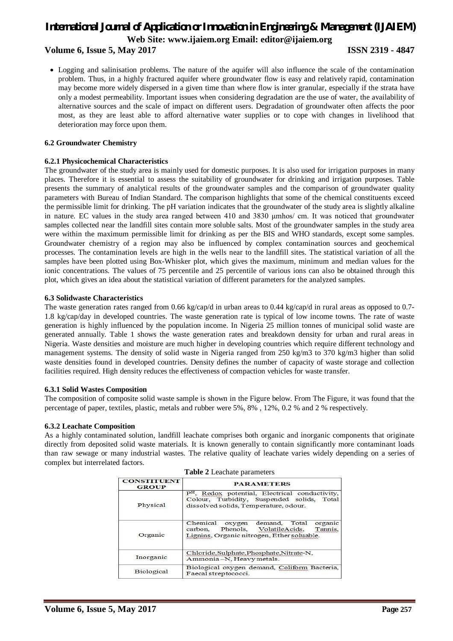### **Volume 6, Issue 5, May 2017 ISSN 2319 - 4847**

 Logging and salinisation problems. The nature of the aquifer will also influence the scale of the contamination problem. Thus, in a highly fractured aquifer where groundwater flow is easy and relatively rapid, contamination may become more widely dispersed in a given time than where flow is inter granular, especially if the strata have only a modest permeability. Important issues when considering degradation are the use of water, the availability of alternative sources and the scale of impact on different users. Degradation of groundwater often affects the poor most, as they are least able to afford alternative water supplies or to cope with changes in livelihood that deterioration may force upon them.

### **6.2 Groundwater Chemistry**

### **6.2.1 Physicochemical Characteristics**

The groundwater of the study area is mainly used for domestic purposes. It is also used for irrigation purposes in many places. Therefore it is essential to assess the suitability of groundwater for drinking and irrigation purposes. Table presents the summary of analytical results of the groundwater samples and the comparison of groundwater quality parameters with Bureau of Indian Standard. The comparison highlights that some of the chemical constituents exceed the permissible limit for drinking. The pH variation indicates that the groundwater of the study area is slightly alkaline in nature. EC values in the study area ranged between 410 and 3830 μmhos/ cm. It was noticed that groundwater samples collected near the landfill sites contain more soluble salts. Most of the groundwater samples in the study area were within the maximum permissible limit for drinking as per the BIS and WHO standards, except some samples. Groundwater chemistry of a region may also be influenced by complex contamination sources and geochemical processes. The contamination levels are high in the wells near to the landfill sites. The statistical variation of all the samples have been plotted using Box-Whisker plot, which gives the maximum, minimum and median values for the ionic concentrations. The values of 75 percentile and 25 percentile of various ions can also be obtained through this plot, which gives an idea about the statistical variation of different parameters for the analyzed samples.

### **6.3 Solidwaste Characteristics**

The waste generation rates ranged from 0.66 kg/cap/d in urban areas to 0.44 kg/cap/d in rural areas as opposed to 0.7- 1.8 kg/cap/day in developed countries. The waste generation rate is typical of low income towns. The rate of waste generation is highly influenced by the population income. In Nigeria 25 million tonnes of municipal solid waste are generated annually. Table 1 shows the waste generation rates and breakdown density for urban and rural areas in Nigeria. Waste densities and moisture are much higher in developing countries which require different technology and management systems. The density of solid waste in Nigeria ranged from 250 kg/m3 to 370 kg/m3 higher than solid waste densities found in developed countries. Density defines the number of capacity of waste storage and collection facilities required. High density reduces the effectiveness of compaction vehicles for waste transfer.

### **6.3.1 Solid Wastes Composition**

The composition of composite solid waste sample is shown in the Figure below. From The Figure, it was found that the percentage of paper, textiles, plastic, metals and rubber were 5%, 8% , 12%, 0.2 % and 2 % respectively.

### **6.3.2 Leachate Composition**

As a highly contaminated solution, landfill leachate comprises both organic and inorganic components that originate directly from deposited solid waste materials. It is known generally to contain significantly more contaminant loads than raw sewage or many industrial wastes. The relative quality of leachate varies widely depending on a series of complex but interrelated factors.

| <b>CONSTITUENT</b><br>GROUP | <b>PARAMETERS</b><br>P <sup>H</sup> , Redox potential, Electrical conductivity,<br>Colour, Turbidity, Suspended solids, Total<br>dissolved solids, Temperature, odour. |  |  |  |
|-----------------------------|------------------------------------------------------------------------------------------------------------------------------------------------------------------------|--|--|--|
| Physical                    |                                                                                                                                                                        |  |  |  |
| Organic                     | organic<br>Chemical<br>demand, Total<br>oxygen<br>Phenols, VolatileAcids, Tannis,<br>carbon.<br>Lignins, Organic nitrogen, Ether soluable.                             |  |  |  |
| Inorganic                   | Chloride, Sulphate, Phosphate, Nitrate-N,<br>Ammonia-N, Heavy metals.                                                                                                  |  |  |  |
| Biological                  | Biological oxygen demand, Coliform Bacteria,<br>Faecal streptococci.                                                                                                   |  |  |  |

| Table 2 Leachate parameters |  |
|-----------------------------|--|
|-----------------------------|--|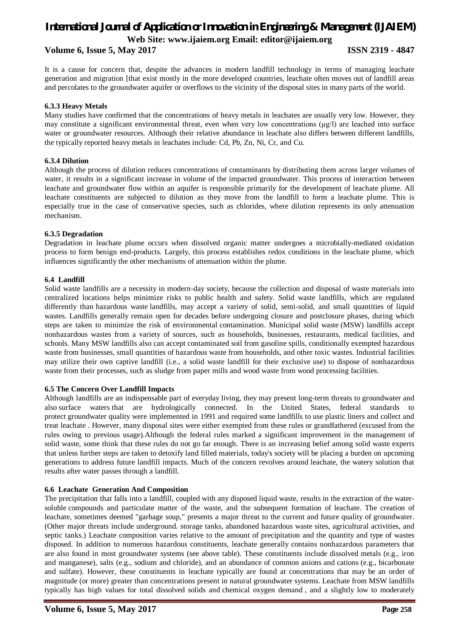### **Volume 6, Issue 5, May 2017 ISSN 2319 - 4847**

It is a cause for concern that, despite the advances in modern landfill technology in terms of managing leachate generation and migration [that exist mostly in the more developed countries, leachate often moves out of landfill areas and percolates to the groundwater aquifer or overflows to the vicinity of the disposal sites in many parts of the world.

### **6.3.3 Heavy Metals**

Many studies have confirmed that the concentrations of heavy metals in leachates are usually very low. However, they may constitute a significant environmental threat, even when very low concentrations (μg/l) are leached into surface water or groundwater resources. Although their relative abundance in leachate also differs between different landfills, the typically reported heavy metals in leachates include: Cd, Pb, Zn, Ni, Cr, and Cu.

### **6.3.4 Dilution**

Although the process of dilution reduces concentrations of contaminants by distributing them across larger volumes of water, it results in a significant increase in volume of the impacted groundwater. This process of interaction between leachate and groundwater flow within an aquifer is responsible primarily for the development of leachate plume. All leachate constituents are subjected to dilution as they move from the landfill to form a leachate plume. This is especially true in the case of conservative species, such as chlorides, where dilution represents its only attenuation mechanism.

### **6.3.5 Degradation**

Degradation in leachate plume occurs when dissolved organic matter undergoes a microbially-mediated oxidation process to form benign end-products. Largely, this process establishes redox conditions in the leachate plume, which influences significantly the other mechanisms of attenuation within the plume.

### **6.4 Landfill**

Solid waste landfills are a necessity in modern-day society, because the collection and disposal of waste materials into centralized locations helps minimize risks to public health and safety. Solid waste landfills, which are regulated differently than hazardous waste landfills, may accept a variety of solid, semi-solid, and small quantities of liquid wastes. Landfills generally remain open for decades before undergoing closure and postclosure phases, during which steps are taken to minimize the risk of environmental contamination. Municipal solid waste (MSW) landfills accept nonhazardous wastes from a variety of sources, such as households, businesses, restaurants, medical facilities, and schools. Many MSW landfills also can accept contaminated soil from gasoline spills, conditionally exempted hazardous waste from businesses, small quantities of hazardous waste from households, and other toxic wastes. Industrial facilities may utilize their own captive landfill (i.e., a solid waste landfill for their exclusive use) to dispose of nonhazardous waste from their processes, such as sludge from paper mills and wood waste from wood processing facilities.

### **6.5 The Concern Over Landfill Impacts**

Although landfills are an indispensable part of everyday living, they may present long-term threats to groundwater and also surface waters that are hydrologically connected. In the United States, federal standards to protect groundwater quality were implemented in 1991 and required some landfills to use plastic liners and collect and treat leachate . However, many disposal sites were either exempted from these rules or grandfathered (excused from the rules owing to previous usage).Although the federal rules marked a significant improvement in the management of solid waste, some think that these rules do not go far enough. There is an increasing belief among solid waste experts that unless further steps are taken to detoxify land filled materials, today's society will be placing a burden on upcoming generations to address future landfill impacts. Much of the concern revolves around leachate, the watery solution that results after water passes through a landfill.

### **6.6 Leachate Generation And Composition**

The precipitation that falls into a landfill, coupled with any disposed liquid waste, results in the extraction of the watersoluble compounds and particulate matter of the waste, and the subsequent formation of leachate. The creation of leachate, sometimes deemed "garbage soup," presents a major threat to the current and future quality of groundwater. (Other major threats include underground. storage tanks, abandoned hazardous waste sites, agricultural activities, and septic tanks.) Leachate composition varies relative to the amount of precipitation and the quantity and type of wastes disposed. In addition to numerous hazardous constituents, leachate generally contains nonhazardous parameters that are also found in most groundwater systems (see above table). These constituents include dissolved metals (e.g., iron and manganese), salts (e.g., sodium and chloride), and an abundance of common anions and cations (e.g., bicarbonate and sulfate). However, these constituents in leachate typically are found at concentrations that may be an order of magnitude (or more) greater than concentrations present in natural groundwater systems. Leachate from MSW landfills typically has high values for total dissolved solids and chemical oxygen demand , and a slightly low to moderately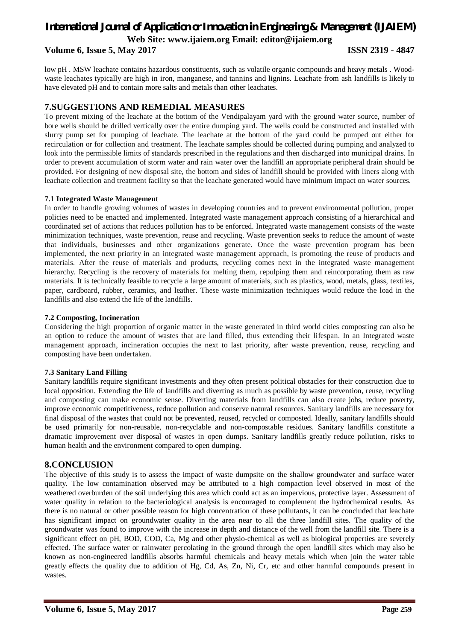## **Volume 6, Issue 5, May 2017 ISSN 2319 - 4847**

low pH . MSW leachate contains hazardous constituents, such as volatile organic compounds and heavy metals . Woodwaste leachates typically are high in iron, manganese, and tannins and lignins. Leachate from ash landfills is likely to have elevated pH and to contain more salts and metals than other leachates.

### **7.SUGGESTIONS AND REMEDIAL MEASURES**

To prevent mixing of the leachate at the bottom of the Vendipalayam yard with the ground water source, number of bore wells should be drilled vertically over the entire dumping yard. The wells could be constructed and installed with slurry pump set for pumping of leachate. The leachate at the bottom of the yard could be pumped out either for recirculation or for collection and treatment. The leachate samples should be collected during pumping and analyzed to look into the permissible limits of standards prescribed in the regulations and then discharged into municipal drains. In order to prevent accumulation of storm water and rain water over the landfill an appropriate peripheral drain should be provided. For designing of new disposal site, the bottom and sides of landfill should be provided with liners along with leachate collection and treatment facility so that the leachate generated would have minimum impact on water sources.

### **7.1 Integrated Waste Management**

In order to handle growing volumes of wastes in developing countries and to prevent environmental pollution, proper policies need to be enacted and implemented. Integrated waste management approach consisting of a hierarchical and coordinated set of actions that reduces pollution has to be enforced. Integrated waste management consists of the waste minimization techniques, waste prevention, reuse and recycling. Waste prevention seeks to reduce the amount of waste that individuals, businesses and other organizations generate. Once the waste prevention program has been implemented, the next priority in an integrated waste management approach, is promoting the reuse of products and materials. After the reuse of materials and products, recycling comes next in the integrated waste management hierarchy. Recycling is the recovery of materials for melting them, repulping them and reincorporating them as raw materials. It is technically feasible to recycle a large amount of materials, such as plastics, wood, metals, glass, textiles, paper, cardboard, rubber, ceramics, and leather. These waste minimization techniques would reduce the load in the landfills and also extend the life of the landfills.

### **7.2 Composting, Incineration**

Considering the high proportion of organic matter in the waste generated in third world cities composting can also be an option to reduce the amount of wastes that are land filled, thus extending their lifespan. In an Integrated waste management approach, incineration occupies the next to last priority, after waste prevention, reuse, recycling and composting have been undertaken.

### **7.3 Sanitary Land Filling**

Sanitary landfills require significant investments and they often present political obstacles for their construction due to local opposition. Extending the life of landfills and diverting as much as possible by waste prevention, reuse, recycling and composting can make economic sense. Diverting materials from landfills can also create jobs, reduce poverty, improve economic competitiveness, reduce pollution and conserve natural resources. Sanitary landfills are necessary for final disposal of the wastes that could not be prevented, reused, recycled or composted. Ideally, sanitary landfills should be used primarily for non-reusable, non-recyclable and non-compostable residues. Sanitary landfills constitute a dramatic improvement over disposal of wastes in open dumps. Sanitary landfills greatly reduce pollution, risks to human health and the environment compared to open dumping.

### **8.CONCLUSION**

The objective of this study is to assess the impact of waste dumpsite on the shallow groundwater and surface water quality. The low contamination observed may be attributed to a high compaction level observed in most of the weathered overburden of the soil underlying this area which could act as an impervious, protective layer. Assessment of water quality in relation to the bacteriological analysis is encouraged to complement the hydrochemical results. As there is no natural or other possible reason for high concentration of these pollutants, it can be concluded that leachate has significant impact on groundwater quality in the area near to all the three landfill sites. The quality of the groundwater was found to improve with the increase in depth and distance of the well from the landfill site. There is a significant effect on pH, BOD, COD, Ca, Mg and other physio-chemical as well as biological properties are severely effected. The surface water or rainwater percolating in the ground through the open landfill sites which may also be known as non-engineered landfills absorbs harmful chemicals and heavy metals which when join the water table greatly effects the quality due to addition of Hg, Cd, As, Zn, Ni, Cr, etc and other harmful compounds present in wastes.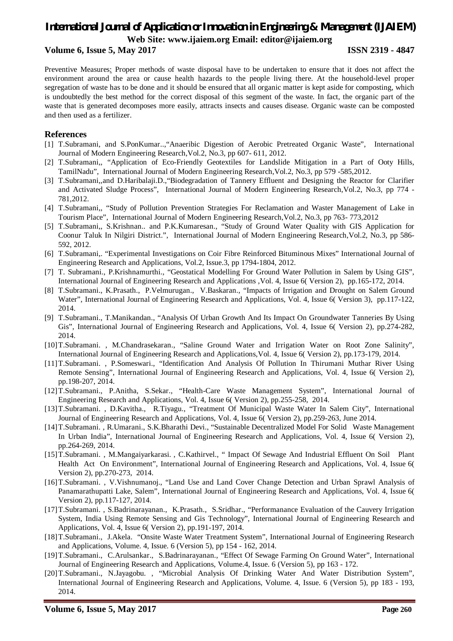### **Volume 6, Issue 5, May 2017 ISSN 2319 - 4847**

Preventive Measures: Proper methods of waste disposal have to be undertaken to ensure that it does not affect the environment around the area or cause health hazards to the people living there. At the household-level proper segregation of waste has to be done and it should be ensured that all organic matter is kept aside for composting, which is undoubtedly the best method for the correct disposal of this segment of the waste. In fact, the organic part of the waste that is generated decomposes more easily, attracts insects and causes disease. Organic waste can be composted and then used as a fertilizer.

### **References**

- [1] T.Subramani, and S.PonKumar..,"Anaeribic Digestion of Aerobic Pretreated Organic Waste", International Journal of Modern Engineering Research,Vol.2, No.3, pp 607- 611, 2012.
- [2] T.Subramani,, "Application of Eco-Friendly Geotextiles for Landslide Mitigation in a Part of Ooty Hills, TamilNadu", International Journal of Modern Engineering Research,Vol.2, No.3, pp 579 -585,2012.
- [3] T.Subramani,,and D.Haribalaji.D.,"Biodegradation of Tannery Effluent and Designing the Reactor for Clarifier and Activated Sludge Process", International Journal of Modern Engineering Research,Vol.2, No.3, pp 774 - 781,2012.
- [4] T.Subramani,, "Study of Pollution Prevention Strategies For Reclamation and Waster Management of Lake in Tourism Place", International Journal of Modern Engineering Research,Vol.2, No.3, pp 763- 773,2012
- [5] T.Subramani,, S.Krishnan.. and P.K.Kumaresan., "Study of Ground Water Quality with GIS Application for Coonur Taluk In Nilgiri District.", International Journal of Modern Engineering Research,Vol.2, No.3, pp 586- 592, 2012.
- [6] T.Subramani,. "Experimental Investigations on Coir Fibre Reinforced Bituminous Mixes" International Journal of Engineering Research and Applications, Vol.2, Issue.3, pp 1794-1804, 2012.
- [7] T. Subramani., P.Krishnamurthi., "Geostatical Modelling For Ground Water Pollution in Salem by Using GIS", International Journal of Engineering Research and Applications ,Vol. 4, Issue 6( Version 2), pp.165-172, 2014.
- [8] T.Subramani., K.Prasath., P.Velmurugan., V.Baskaran., "Impacts of Irrigation and Drought on Salem Ground Water", International Journal of Engineering Research and Applications, Vol. 4, Issue 6( Version 3), pp.117-122, 2014.
- [9] T.Subramani., T.Manikandan., "Analysis Of Urban Growth And Its Impact On Groundwater Tanneries By Using Gis", International Journal of Engineering Research and Applications, Vol. 4, Issue 6( Version 2), pp.274-282, 2014.
- [10]T.Subramani. , M.Chandrasekaran., "Saline Ground Water and Irrigation Water on Root Zone Salinity", International Journal of Engineering Research and Applications,Vol. 4, Issue 6( Version 2), pp.173-179, 2014.
- [11]T.Subramani. , P.Someswari., "Identification And Analysis Of Pollution In Thirumani Muthar River Using Remote Sensing", International Journal of Engineering Research and Applications, Vol. 4, Issue 6( Version 2), pp.198-207, 2014.
- [12]T.Subramani., P.Anitha, S.Sekar., "Health-Care Waste Management System", International Journal of Engineering Research and Applications, Vol. 4, Issue 6( Version 2), pp.255-258, 2014.
- [13]T.Subramani. , D.Kavitha., R.Tiyagu., "Treatment Of Municipal Waste Water In Salem City", International Journal of Engineering Research and Applications, Vol. 4, Issue 6( Version 2), pp.259-263, June 2014.
- [14]T.Subramani. , R.Umarani., S.K.Bharathi Devi., "Sustainable Decentralized Model For Solid Waste Management In Urban India", International Journal of Engineering Research and Applications, Vol. 4, Issue 6( Version 2), pp.264-269, 2014.
- [15]T.Subramani. , M.Mangaiyarkarasi. , C.Kathirvel., " Impact Of Sewage And Industrial Effluent On Soil Plant Health Act On Environment", International Journal of Engineering Research and Applications, Vol. 4, Issue 6( Version 2), pp.270-273, 2014.
- [16]T.Subramani., V.Vishnumanoj., "Land Use and Land Cover Change Detection and Urban Sprawl Analysis of Panamarathupatti Lake, Salem", International Journal of Engineering Research and Applications, Vol. 4, Issue 6( Version 2), pp.117-127, 2014.
- [17]T.Subramani. , S.Badrinarayanan., K.Prasath., S.Sridhar., "Performanance Evaluation of the Cauvery Irrigation System, India Using Remote Sensing and Gis Technology", International Journal of Engineering Research and Applications, Vol. 4, Issue 6( Version 2), pp.191-197, 2014.
- [18]T.Subramani., J.Akela. "Onsite Waste Water Treatment System", International Journal of Engineering Research and Applications, Volume. 4, Issue. 6 (Version 5), pp 154 - 162, 2014.
- [19]T.Subramani., C.Arulsankar., S.Badrinarayanan., "Effect Of Sewage Farming On Ground Water", International Journal of Engineering Research and Applications, Volume.4, Issue. 6 (Version 5), pp 163 - 172.
- [20]T.Subramani., N.Jayagobu. , "Microbial Analysis Of Drinking Water And Water Distribution System", International Journal of Engineering Research and Applications, Volume. 4, Issue. 6 (Version 5), pp 183 - 193, 2014.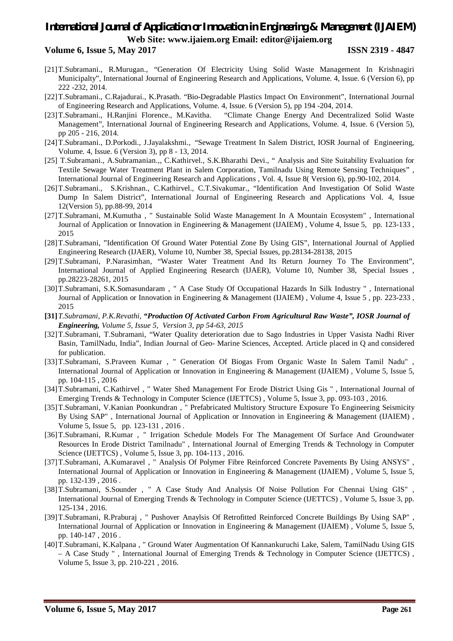### **Volume 6, Issue 5, May 2017 ISSN 2319 - 4847**

- [21]T.Subramani., R.Murugan., "Generation Of Electricity Using Solid Waste Management In Krishnagiri Municipalty", International Journal of Engineering Research and Applications, Volume. 4, Issue. 6 (Version 6), pp 222 -232, 2014.
- [22]T.Subramani., C.Rajadurai., K.Prasath. "Bio-Degradable Plastics Impact On Environment", International Journal of Engineering Research and Applications, Volume. 4, Issue. 6 (Version 5), pp 194 -204, 2014.
- [23]T.Subramani., H.Ranjini Florence., M.Kavitha. "Climate Change Energy And Decentralized Solid Waste Management", International Journal of Engineering Research and Applications, Volume. 4, Issue. 6 (Version 5), pp 205 - 216, 2014.
- [24]T.Subramani., D.Porkodi., J.Jayalakshmi., "Sewage Treatment In Salem District, IOSR Journal of Engineering, Volume. 4, Issue. 6 (Version 3), pp 8 - 13, 2014.
- [25] T.Subramani., A.Subramanian.,, C.Kathirvel., S.K.Bharathi Devi., " Analysis and Site Suitability Evaluation for Textile Sewage Water Treatment Plant in Salem Corporation, Tamilnadu Using Remote Sensing Techniques" , International Journal of Engineering Research and Applications , Vol. 4, Issue 8( Version 6), pp.90-102, 2014.
- [26]T.Subramani., S.Krishnan., C.Kathirvel., C.T.Sivakumar., "Identification And Investigation Of Solid Waste Dump In Salem District", International Journal of Engineering Research and Applications Vol. 4, Issue 12(Version 5), pp.88-99, 2014
- [27]T.Subramani, M.Kumutha , " Sustainable Solid Waste Management In A Mountain Ecosystem" , International Journal of Application or Innovation in Engineering & Management (IJAIEM) , Volume 4, Issue 5, pp. 123-133 , 2015
- [28]T.Subramani, "Identification Of Ground Water Potential Zone By Using GIS", International Journal of Applied Engineering Research (IJAER), Volume 10, Number 38, Special Issues, pp.28134-28138, 2015
- [29]T.Subramani, P.Narasimhan, "Waster Water Treatment And Its Return Journey To The Environment", International Journal of Applied Engineering Research (IJAER), Volume 10, Number 38, Special Issues , pp.28223-28261, 2015
- [30]T.Subramani, S.K.Somasundaram , " A Case Study Of Occupational Hazards In Silk Industry " , International Journal of Application or Innovation in Engineering & Management (IJAIEM) , Volume 4, Issue 5 , pp. 223-233 , 2015
- **[31]***T.Subramani, P.K.Revathi, "Production Of Activated Carbon From Agricultural Raw Waste", IOSR Journal of Engineering, Volume 5, Issue 5, Version 3, pp 54-63, 2015*
- [32]T.Subramani, T.Subramani, "Water Quality deterioration due to Sago Industries in Upper Vasista Nadhi River Basin, TamilNadu, India", Indian Journal of Geo- Marine Sciences, Accepted. Article placed in Q and considered for publication.
- [33]T.Subramani, S.Praveen Kumar , " Generation Of Biogas From Organic Waste In Salem Tamil Nadu" , International Journal of Application or Innovation in Engineering & Management (IJAIEM) , Volume 5, Issue 5, pp. 104-115 , 2016
- [34]T.Subramani, C.Kathirvel , " Water Shed Management For Erode District Using Gis ", International Journal of Emerging Trends & Technology in Computer Science (IJETTCS) , Volume 5, Issue 3, pp. 093-103 , 2016.
- [35]T.Subramani, V.Kanian Poonkundran , " Prefabricated Multistory Structure Exposure To Engineering Seismicity By Using SAP" , International Journal of Application or Innovation in Engineering & Management (IJAIEM) , Volume 5, Issue 5, pp. 123-131 , 2016 .
- [36]T.Subramani, R.Kumar , " Irrigation Schedule Models For The Management Of Surface And Groundwater Resources In Erode District Tamilnadu" , International Journal of Emerging Trends & Technology in Computer Science (IJETTCS) , Volume 5, Issue 3, pp. 104-113 , 2016.
- [37]T.Subramani, A.Kumaravel , " Analysis Of Polymer Fibre Reinforced Concrete Pavements By Using ANSYS" , International Journal of Application or Innovation in Engineering & Management (IJAIEM) , Volume 5, Issue 5, pp. 132-139 , 2016 .
- [38]T.Subramani, S.Sounder , " A Case Study And Analysis Of Noise Pollution For Chennai Using GIS" , International Journal of Emerging Trends & Technology in Computer Science (IJETTCS) , Volume 5, Issue 3, pp. 125-134 , 2016.
- [39]T.Subramani, R.Praburaj , " Pushover Anaylsis Of Retrofitted Reinforced Concrete Buildings By Using SAP" , International Journal of Application or Innovation in Engineering & Management (IJAIEM) , Volume 5, Issue 5, pp. 140-147 , 2016 .
- [40]T.Subramani, K.Kalpana , " Ground Water Augmentation Of Kannankuruchi Lake, Salem, TamilNadu Using GIS – A Case Study " , International Journal of Emerging Trends & Technology in Computer Science (IJETTCS) , Volume 5, Issue 3, pp. 210-221 , 2016.